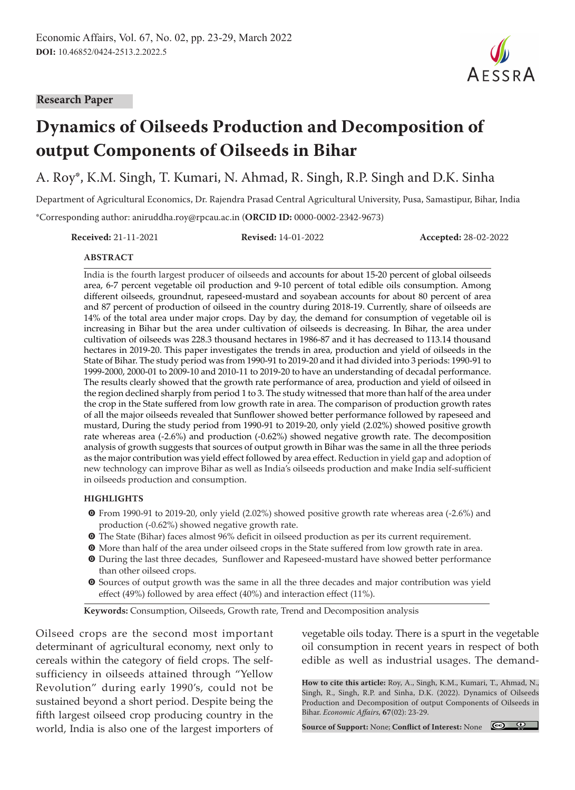#### **Research Paper**



# **Dynamics of Oilseeds Production and Decomposition of output Components of Oilseeds in Bihar**

A. Roy\*, K.M. Singh, T. Kumari, N. Ahmad, R. Singh, R.P. Singh and D.K. Sinha

Department of Agricultural Economics, Dr. Rajendra Prasad Central Agricultural University, Pusa, Samastipur, Bihar, India \*Corresponding author: aniruddha.roy@rpcau.ac.in (**ORCID ID:** 0000-0002-2342-9673)

**Received:** 21-11-2021 **Revised:** 14-01-2022 **Accepted:** 28-02-2022

#### **ABSTRACT**

India is the fourth largest producer of oilseeds and accounts for about 15-20 percent of global oilseeds area, 6-7 percent vegetable oil production and 9-10 percent of total edible oils consumption. Among different oilseeds, groundnut, rapeseed-mustard and soyabean accounts for about 80 percent of area and 87 percent of production of oilseed in the country during 2018-19. Currently, share of oilseeds are 14% of the total area under major crops. Day by day, the demand for consumption of vegetable oil is increasing in Bihar but the area under cultivation of oilseeds is decreasing. In Bihar, the area under cultivation of oilseeds was 228.3 thousand hectares in 1986-87 and it has decreased to 113.14 thousand hectares in 2019-20. This paper investigates the trends in area, production and yield of oilseeds in the State of Bihar. The study period was from 1990-91 to 2019-20 and it had divided into 3 periods: 1990-91 to 1999-2000, 2000-01 to 2009-10 and 2010-11 to 2019-20 to have an understanding of decadal performance. The results clearly showed that the growth rate performance of area, production and yield of oilseed in the region declined sharply from period 1 to 3. The study witnessed that more than half of the area under the crop in the State suffered from low growth rate in area. The comparison of production growth rates of all the major oilseeds revealed that Sunflower showed better performance followed by rapeseed and mustard, During the study period from 1990-91 to 2019-20, only yield (2.02%) showed positive growth rate whereas area (-2.6%) and production (-0.62%) showed negative growth rate. The decomposition analysis of growth suggests that sources of output growth in Bihar was the same in all the three periods as the major contribution was yield effect followed by area effect. Reduction in yield gap and adoption of new technology can improve Bihar as well as India's oilseeds production and make India self-sufficient in oilseeds production and consumption.

#### **HIGHLIGHTS**

- m From 1990-91 to 2019-20, only yield (2.02%) showed positive growth rate whereas area (-2.6%) and production (-0.62%) showed negative growth rate.
- $\bullet$  The State (Bihar) faces almost 96% deficit in oilseed production as per its current requirement.
- $\bullet$  More than half of the area under oilseed crops in the State suffered from low growth rate in area.
- $\bullet$  During the last three decades, Sunflower and Rapeseed-mustard have showed better performance than other oilseed crops.
- $\odot$  Sources of output growth was the same in all the three decades and major contribution was yield effect (49%) followed by area effect (40%) and interaction effect (11%).

**Keywords:** Consumption, Oilseeds, Growth rate, Trend and Decomposition analysis

Oilseed crops are the second most important determinant of agricultural economy, next only to cereals within the category of field crops. The selfsufficiency in oilseeds attained through "Yellow Revolution" during early 1990's, could not be sustained beyond a short period. Despite being the fifth largest oilseed crop producing country in the world, India is also one of the largest importers of vegetable oils today. There is a spurt in the vegetable oil consumption in recent years in respect of both edible as well as industrial usages. The demand-

**How to cite this article:** Roy, A., Singh, K.M., Kumari, T., Ahmad, N., Singh, R., Singh, R.P. and Sinha, D.K. (2022). Dynamics of Oilseeds Production and Decomposition of output Components of Oilseeds in Bihar. *Economic Affairs,* **67**(02): 23-29.

**Source of Support:** None; **Conflict of Interest:** None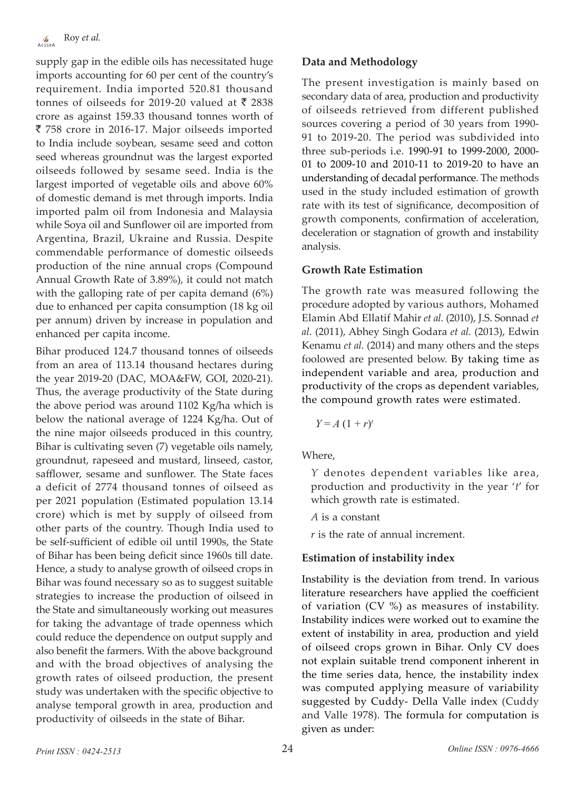supply gap in the edible oils has necessitated huge imports accounting for 60 per cent of the country's requirement. India imported 520.81 thousand tonnes of oilseeds for 2019-20 valued at  $\bar{\tau}$  2838 crore as against 159.33 thousand tonnes worth of ` 758 crore in 2016-17. Major oilseeds imported to India include soybean, sesame seed and cotton seed whereas groundnut was the largest exported oilseeds followed by sesame seed. India is the largest imported of vegetable oils and above 60% of domestic demand is met through imports. India imported palm oil from Indonesia and Malaysia while Soya oil and Sunflower oil are imported from Argentina, Brazil, Ukraine and Russia. Despite commendable performance of domestic oilseeds production of the nine annual crops (Compound Annual Growth Rate of 3.89%), it could not match with the galloping rate of per capita demand (6%) due to enhanced per capita consumption (18 kg oil per annum) driven by increase in population and enhanced per capita income.

Bihar produced 124.7 thousand tonnes of oilseeds from an area of 113.14 thousand hectares during the year 2019-20 (DAC, MOA&FW, GOI, 2020-21). Thus, the average productivity of the State during the above period was around 1102 Kg/ha which is below the national average of 1224 Kg/ha. Out of the nine major oilseeds produced in this country, Bihar is cultivating seven (7) vegetable oils namely, groundnut, rapeseed and mustard, linseed, castor, safflower, sesame and sunflower. The State faces a deficit of 2774 thousand tonnes of oilseed as per 2021 population (Estimated population 13.14 crore) which is met by supply of oilseed from other parts of the country. Though India used to be self-sufficient of edible oil until 1990s, the State of Bihar has been being deficit since 1960s till date. Hence, a study to analyse growth of oilseed crops in Bihar was found necessary so as to suggest suitable strategies to increase the production of oilseed in the State and simultaneously working out measures for taking the advantage of trade openness which could reduce the dependence on output supply and also benefit the farmers. With the above background and with the broad objectives of analysing the growth rates of oilseed production, the present study was undertaken with the specific objective to analyse temporal growth in area, production and productivity of oilseeds in the state of Bihar.

#### **Data and Methodology**

The present investigation is mainly based on secondary data of area, production and productivity of oilseeds retrieved from different published sources covering a period of 30 years from 1990- 91 to 2019-20. The period was subdivided into three sub-periods i.e. 1990-91 to 1999-2000, 2000- 01 to 2009-10 and 2010-11 to 2019-20 to have an understanding of decadal performance. The methods used in the study included estimation of growth rate with its test of significance, decomposition of growth components, confirmation of acceleration, deceleration or stagnation of growth and instability analysis.

#### **Growth Rate Estimation**

The growth rate was measured following the procedure adopted by various authors, Mohamed Elamin Abd Ellatif Mahir *et al.* (2010), J.S. Sonnad *et al.* (2011), Abhey Singh Godara *et al.* (2013), Edwin Kenamu *et al.* (2014) and many others and the steps foolowed are presented below. By taking time as independent variable and area, production and productivity of the crops as dependent variables, the compound growth rates were estimated.

 $Y = A(1 + r)^t$ 

Where,

*Y* denotes dependent variables like area, production and productivity in the year '*t*' for which growth rate is estimated.

*A* is a constant

*r* is the rate of annual increment.

#### **Estimation of instability index**

Instability is the deviation from trend. In various literature researchers have applied the coefficient of variation (CV %) as measures of instability. Instability indices were worked out to examine the extent of instability in area, production and yield of oilseed crops grown in Bihar. Only CV does not explain suitable trend component inherent in the time series data, hence, the instability index was computed applying measure of variability suggested by Cuddy- Della Valle index (Cuddy and Valle 1978). The formula for computation is given as under: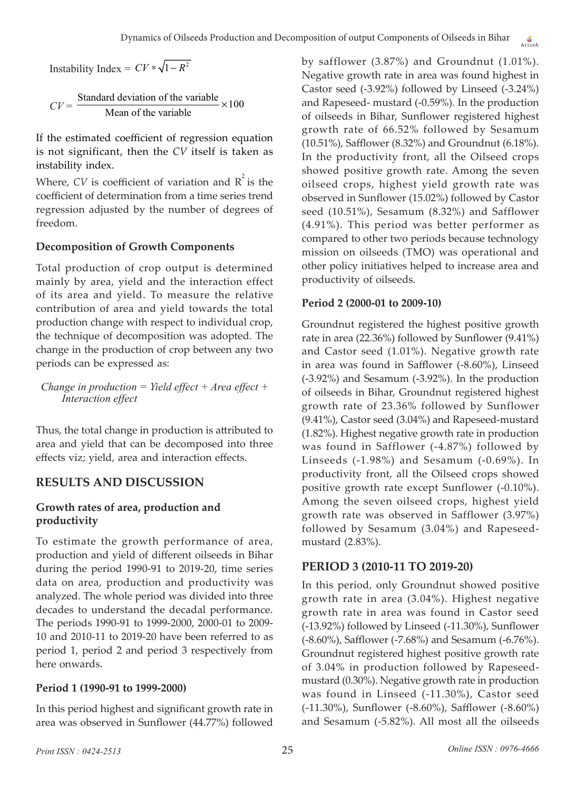Instability Index =  $CV * \sqrt{1 - R^2}$ 

 $CV = \frac{\text{Standard deviation of the variable}}{\text{Mean of the variable}} \times 100$ Mean of the variable ×

If the estimated coefficient of regression equation is not significant, then the *CV* itself is taken as instability index.

Where,  $CV$  is coefficient of variation and  $R^2$  is the coefficient of determination from a time series trend regression adjusted by the number of degrees of freedom.

## **Decomposition of Growth Components**

Total production of crop output is determined mainly by area, yield and the interaction effect of its area and yield. To measure the relative contribution of area and yield towards the total production change with respect to individual crop, the technique of decomposition was adopted. The change in the production of crop between any two periods can be expressed as:

*Change in production = Yield effect + Area effect + Interaction effect*

Thus, the total change in production is attributed to area and yield that can be decomposed into three effects viz; yield, area and interaction effects.

## **RESULTS AND DISCUSSION**

## **Growth rates of area, production and productivity**

To estimate the growth performance of area, production and yield of different oilseeds in Bihar during the period 1990-91 to 2019-20, time series data on area, production and productivity was analyzed. The whole period was divided into three decades to understand the decadal performance. The periods 1990-91 to 1999-2000, 2000-01 to 2009- 10 and 2010-11 to 2019-20 have been referred to as period 1, period 2 and period 3 respectively from here onwards.

## **Period 1 (1990-91 to 1999-2000)**

In this period highest and significant growth rate in area was observed in Sunflower (44.77%) followed by safflower (3.87%) and Groundnut (1.01%). Negative growth rate in area was found highest in Castor seed (-3.92%) followed by Linseed (-3.24%) and Rapeseed- mustard (-0.59%). In the production of oilseeds in Bihar, Sunflower registered highest growth rate of 66.52% followed by Sesamum (10.51%), Safflower (8.32%) and Groundnut (6.18%). In the productivity front, all the Oilseed crops showed positive growth rate. Among the seven oilseed crops, highest yield growth rate was observed in Sunflower (15.02%) followed by Castor seed (10.51%), Sesamum (8.32%) and Safflower (4.91%). This period was better performer as compared to other two periods because technology mission on oilseeds (TMO) was operational and other policy initiatives helped to increase area and productivity of oilseeds.

## **Period 2 (2000-01 to 2009-10)**

Groundnut registered the highest positive growth rate in area (22.36%) followed by Sunflower (9.41%) and Castor seed (1.01%). Negative growth rate in area was found in Safflower (-8.60%), Linseed (-3.92%) and Sesamum (-3.92%). In the production of oilseeds in Bihar, Groundnut registered highest growth rate of 23.36% followed by Sunflower (9.41%), Castor seed (3.04%) and Rapeseed-mustard (1.82%). Highest negative growth rate in production was found in Safflower (-4.87%) followed by Linseeds (-1.98%) and Sesamum (-0.69%). In productivity front, all the Oilseed crops showed positive growth rate except Sunflower (-0.10%). Among the seven oilseed crops, highest yield growth rate was observed in Safflower (3.97%) followed by Sesamum (3.04%) and Rapeseedmustard (2.83%).

## **PERIOD 3 (2010-11 TO 2019-20)**

In this period, only Groundnut showed positive growth rate in area (3.04%). Highest negative growth rate in area was found in Castor seed (-13.92%) followed by Linseed (-11.30%), Sunflower (-8.60%), Safflower (-7.68%) and Sesamum (-6.76%). Groundnut registered highest positive growth rate of 3.04% in production followed by Rapeseedmustard (0.30%). Negative growth rate in production was found in Linseed (-11.30%), Castor seed (-11.30%), Sunflower (-8.60%), Safflower (-8.60%) and Sesamum (-5.82%). All most all the oilseeds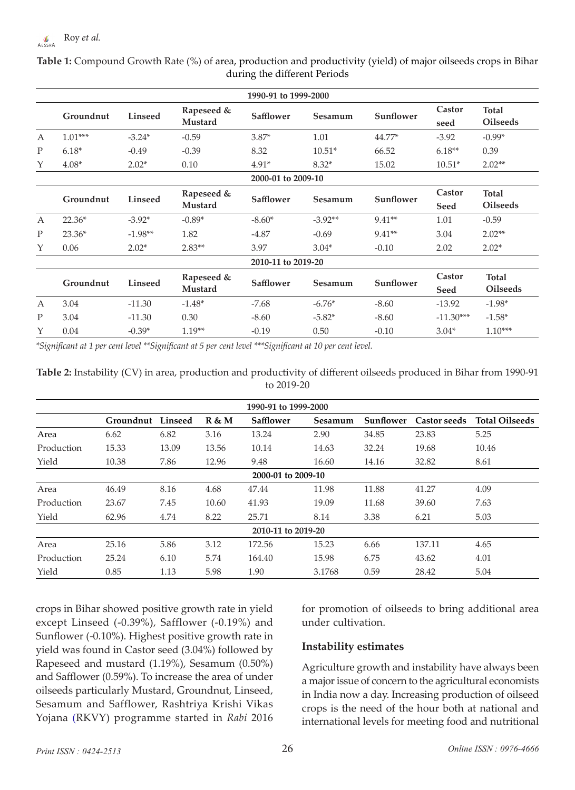| 1990-91 to 1999-2000 |           |                |                       |                    |                    |           |                |                                 |  |
|----------------------|-----------|----------------|-----------------------|--------------------|--------------------|-----------|----------------|---------------------------------|--|
|                      | Groundnut | <b>Linseed</b> | Rapeseed &<br>Mustard | Safflower          | Sesamum            | Sunflower | Castor<br>seed | Total<br><b>Oilseeds</b>        |  |
| $\mathsf{A}$         | $1.01***$ | $-3.24*$       | $-0.59$               | $3.87*$            | 1.01               | $44.77*$  | $-3.92$        | $-0.99*$                        |  |
| P                    | $6.18*$   | $-0.49$        | $-0.39$               | 8.32               | $10.51*$           | 66.52     | $6.18**$       | 0.39                            |  |
| Y                    | $4.08*$   | $2.02*$        | 0.10                  | $4.91*$            | $8.32*$            | 15.02     | $10.51*$       | $2.02**$                        |  |
|                      |           |                |                       |                    | 2000-01 to 2009-10 |           |                |                                 |  |
|                      | Groundnut | <b>Linseed</b> | Rapeseed &<br>Mustard | Safflower          | Sesamum            | Sunflower | Castor<br>Seed | <b>Total</b><br><b>Oilseeds</b> |  |
| $\mathbf{A}$         | $22.36*$  | $-3.92*$       | $-0.89*$              | $-8.60*$           | $-3.92**$          | $9.41**$  | 1.01           | $-0.59$                         |  |
| $\mathbf{P}$         | $23.36*$  | $-1.98**$      | 1.82                  | $-4.87$            | $-0.69$            | $9.41**$  | 3.04           | $2.02**$                        |  |
| Υ                    | 0.06      | $2.02*$        | $2.83**$              | 3.97               | $3.04*$            | $-0.10$   | 2.02           | $2.02*$                         |  |
|                      |           |                |                       | 2010-11 to 2019-20 |                    |           |                |                                 |  |
|                      | Groundnut | Linseed        | Rapeseed &<br>Mustard | Safflower          | Sesamum            | Sunflower | Castor<br>Seed | Total<br><b>Oilseeds</b>        |  |
| $\mathbf{A}$         | 3.04      | $-11.30$       | $-1.48*$              | $-7.68$            | $-6.76*$           | $-8.60$   | $-13.92$       | $-1.98*$                        |  |
| P                    | 3.04      | $-11.30$       | 0.30                  | $-8.60$            | $-5.82*$           | $-8.60$   | $-11.30***$    | $-1.58*$                        |  |
| Y                    | 0.04      | $-0.39*$       | $1.19**$              | $-0.19$            | 0.50               | $-0.10$   | $3.04*$        | $1.10***$                       |  |

**Table 1:** Compound Growth Rate (%) of area, production and productivity (yield) of major oilseeds crops in Bihar during the different Periods

*\*Significant at 1 per cent level \*\*Significant at 5 per cent level \*\*\*Significant at 10 per cent level.*

| Table 2: Instability (CV) in area, production and productivity of different oilseeds produced in Bihar from 1990-91 |  |
|---------------------------------------------------------------------------------------------------------------------|--|
| to 2019-20                                                                                                          |  |

| 1990-91 to 1999-2000 |           |         |       |           |         |           |                     |                       |  |  |
|----------------------|-----------|---------|-------|-----------|---------|-----------|---------------------|-----------------------|--|--|
|                      | Groundnut | Linseed | R & M | Safflower | Sesamum | Sunflower | <b>Castor seeds</b> | <b>Total Oilseeds</b> |  |  |
| Area                 | 6.62      | 6.82    | 3.16  | 13.24     | 2.90    | 34.85     | 23.83               | 5.25                  |  |  |
| Production           | 15.33     | 13.09   | 13.56 | 10.14     | 14.63   | 32.24     | 19.68               | 10.46                 |  |  |
| Yield                | 10.38     | 7.86    | 12.96 | 9.48      | 16.60   | 14.16     | 32.82               | 8.61                  |  |  |
| 2000-01 to 2009-10   |           |         |       |           |         |           |                     |                       |  |  |
| Area                 | 46.49     | 8.16    | 4.68  | 47.44     | 11.98   | 11.88     | 41.27               | 4.09                  |  |  |
| Production           | 23.67     | 7.45    | 10.60 | 41.93     | 19.09   | 11.68     | 39.60               | 7.63                  |  |  |
| Yield                | 62.96     | 4.74    | 8.22  | 25.71     | 8.14    | 3.38      | 6.21                | 5.03                  |  |  |
| 2010-11 to 2019-20   |           |         |       |           |         |           |                     |                       |  |  |
| Area                 | 25.16     | 5.86    | 3.12  | 172.56    | 15.23   | 6.66      | 137.11              | 4.65                  |  |  |
| Production           | 25.24     | 6.10    | 5.74  | 164.40    | 15.98   | 6.75      | 43.62               | 4.01                  |  |  |
| Yield                | 0.85      | 1.13    | 5.98  | 1.90      | 3.1768  | 0.59      | 28.42               | 5.04                  |  |  |

crops in Bihar showed positive growth rate in yield except Linseed (-0.39%), Safflower (-0.19%) and Sunflower (-0.10%). Highest positive growth rate in yield was found in Castor seed (3.04%) followed by Rapeseed and mustard (1.19%), Sesamum (0.50%) and Safflower (0.59%). To increase the area of under oilseeds particularly Mustard, Groundnut, Linseed, Sesamum and Safflower, Rashtriya Krishi Vikas Yojana (RKVY) programme started in *Rabi* 2016 for promotion of oilseeds to bring additional area under cultivation.

#### **Instability estimates**

Agriculture growth and instability have always been a major issue of concern to the agricultural economists in India now a day. Increasing production of oilseed crops is the need of the hour both at national and international levels for meeting food and nutritional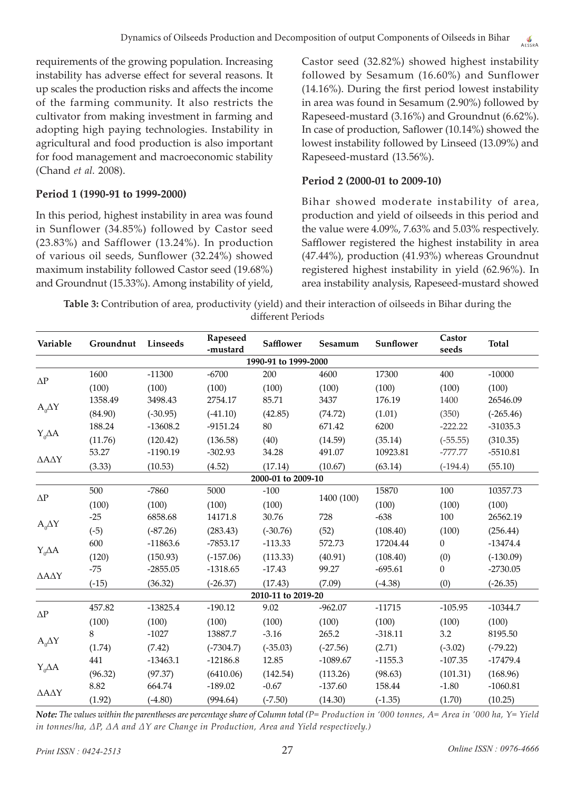requirements of the growing population. Increasing instability has adverse effect for several reasons. It up scales the production risks and affects the income of the farming community. It also restricts the cultivator from making investment in farming and adopting high paying technologies. Instability in agricultural and food production is also important for food management and macroeconomic stability (Chand *et al.* 2008).

#### **Period 1 (1990-91 to 1999-2000)**

In this period, highest instability in area was found in Sunflower (34.85%) followed by Castor seed (23.83%) and Safflower (13.24%). In production of various oil seeds, Sunflower (32.24%) showed maximum instability followed Castor seed (19.68%) and Groundnut (15.33%). Among instability of yield,

Castor seed (32.82%) showed highest instability followed by Sesamum (16.60%) and Sunflower (14.16%). During the first period lowest instability in area was found in Sesamum (2.90%) followed by Rapeseed-mustard (3.16%) and Groundnut (6.62%). In case of production, Saflower (10.14%) showed the lowest instability followed by Linseed (13.09%) and Rapeseed-mustard (13.56%).

#### **Period 2 (2000-01 to 2009-10)**

Bihar showed moderate instability of area, production and yield of oilseeds in this period and the value were 4.09%, 7.63% and 5.03% respectively. Safflower registered the highest instability in area (47.44%), production (41.93%) whereas Groundnut registered highest instability in yield (62.96%). In area instability analysis, Rapeseed-mustard showed

**Table 3:** Contribution of area, productivity (yield) and their interaction of oilseeds in Bihar during the different Periods

| Variable       | Groundnut | Linseeds   | Rapeseed<br>-mustard | <b>Safflower</b>     | Sesamum    | Sunflower | Castor<br>seeds | <b>Total</b> |
|----------------|-----------|------------|----------------------|----------------------|------------|-----------|-----------------|--------------|
|                |           |            |                      | 1990-91 to 1999-2000 |            |           |                 |              |
|                | 1600      | $-11300$   | $-6700$              | 200                  | 4600       | 17300     | 400             | $-10000$     |
| $\Delta \rm P$ | (100)     | (100)      | (100)                | (100)                | (100)      | (100)     | (100)           | (100)        |
|                | 1358.49   | 3498.43    | 2754.17              | 85.71                | 3437       | 176.19    | 1400            | 26546.09     |
| $A_0\Delta Y$  | (84.90)   | $(-30.95)$ | $(-41.10)$           | (42.85)              | (74.72)    | (1.01)    | (350)           | $(-265.46)$  |
|                | 188.24    | $-13608.2$ | $-9151.24$           | 80                   | 671.42     | 6200      | $-222.22$       | $-31035.3$   |
| $Y_0\Delta A$  | (11.76)   | (120.42)   | (136.58)             | (40)                 | (14.59)    | (35.14)   | $(-55.55)$      | (310.35)     |
|                | 53.27     | $-1190.19$ | $-302.93$            | 34.28                | 491.07     | 10923.81  | -777.77         | $-5510.81$   |
| ΔΑΔΥ           | (3.33)    | (10.53)    | (4.52)               | (17.14)              | (10.67)    | (63.14)   | $(-194.4)$      | (55.10)      |
|                |           |            |                      | 2000-01 to 2009-10   |            |           |                 |              |
| $\Delta \rm P$ | 500       | $-7860$    | 5000                 | $-100$               |            | 15870     | 100             | 10357.73     |
|                | (100)     | (100)      | (100)                | (100)                | 1400 (100) | (100)     | (100)           | (100)        |
|                | $-25$     | 6858.68    | 14171.8              | 30.76                | 728        | $-638$    | 100             | 26562.19     |
| $A_0\Delta Y$  | $(-5)$    | $(-87.26)$ | (283.43)             | $(-30.76)$           | (52)       | (108.40)  | (100)           | (256.44)     |
|                | 600       | $-11863.6$ | -7853.17             | $-113.33$            | 572.73     | 17204.44  | 0               | $-13474.4$   |
| $Y_0\Delta A$  | (120)     | (150.93)   | $(-157.06)$          | (113.33)             | (40.91)    | (108.40)  | (0)             | $(-130.09)$  |
|                | $-75$     | $-2855.05$ | $-1318.65$           | $-17.43$             | 99.27      | $-695.61$ | 0               | $-2730.05$   |
| ΔΑΔΥ           | $(-15)$   | (36.32)    | $(-26.37)$           | (17.43)              | (7.09)     | $(-4.38)$ | (0)             | $(-26.35)$   |
|                |           |            |                      | 2010-11 to 2019-20   |            |           |                 |              |
| $\Delta \rm P$ | 457.82    | $-13825.4$ | $-190.12$            | 9.02                 | $-962.07$  | $-11715$  | $-105.95$       | $-10344.7$   |
|                | (100)     | (100)      | (100)                | (100)                | (100)      | (100)     | (100)           | (100)        |
|                | 8         | $-1027$    | 13887.7              | $-3.16$              | 265.2      | $-318.11$ | 3.2             | 8195.50      |
| $A_0\Delta Y$  | (1.74)    | (7.42)     | $(-7304.7)$          | $(-35.03)$           | $(-27.56)$ | (2.71)    | $(-3.02)$       | $(-79.22)$   |
|                | 441       | $-13463.1$ | $-12186.8$           | 12.85                | $-1089.67$ | $-1155.3$ | $-107.35$       | $-17479.4$   |
| $Y_0\Delta A$  | (96.32)   | (97.37)    | (6410.06)            | (142.54)             | (113.26)   | (98.63)   | (101.31)        | (168.96)     |
|                | 8.82      | 664.74     | $-189.02$            | $-0.67$              | $-137.60$  | 158.44    | $-1.80$         | $-1060.81$   |
| ΔΑΔΥ           | (1.92)    | $(-4.80)$  | (994.64)             | $(-7.50)$            | (14.30)    | $(-1.35)$ | (1.70)          | (10.25)      |

*Note: The values within the parentheses are percentage share of Column total (P= Production in '000 tonnes, A= Area in '000 ha, Y= Yield in tonnes/ha, ∆P, ∆A and ∆Y are Change in Production, Area and Yield respectively.)*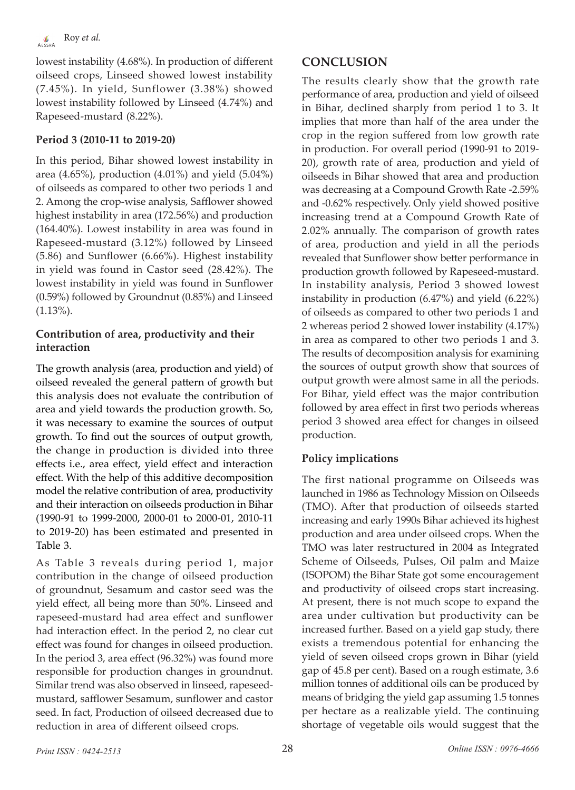lowest instability (4.68%). In production of different oilseed crops, Linseed showed lowest instability (7.45%). In yield, Sunflower (3.38%) showed lowest instability followed by Linseed (4.74%) and Rapeseed-mustard (8.22%).

## **Period 3 (2010-11 to 2019-20)**

In this period, Bihar showed lowest instability in area (4.65%), production (4.01%) and yield (5.04%) of oilseeds as compared to other two periods 1 and 2. Among the crop-wise analysis, Safflower showed highest instability in area (172.56%) and production (164.40%). Lowest instability in area was found in Rapeseed-mustard (3.12%) followed by Linseed (5.86) and Sunflower (6.66%). Highest instability in yield was found in Castor seed (28.42%). The lowest instability in yield was found in Sunflower (0.59%) followed by Groundnut (0.85%) and Linseed (1.13%).

#### **Contribution of area, productivity and their interaction**

The growth analysis (area, production and yield) of oilseed revealed the general pattern of growth but this analysis does not evaluate the contribution of area and yield towards the production growth. So, it was necessary to examine the sources of output growth. To find out the sources of output growth, the change in production is divided into three effects i.e., area effect, yield effect and interaction effect. With the help of this additive decomposition model the relative contribution of area, productivity and their interaction on oilseeds production in Bihar (1990-91 to 1999-2000, 2000-01 to 2000-01, 2010-11 to 2019-20) has been estimated and presented in Table 3.

As Table 3 reveals during period 1, major contribution in the change of oilseed production of groundnut, Sesamum and castor seed was the yield effect, all being more than 50%. Linseed and rapeseed-mustard had area effect and sunflower had interaction effect. In the period 2, no clear cut effect was found for changes in oilseed production. In the period 3, area effect (96.32%) was found more responsible for production changes in groundnut. Similar trend was also observed in linseed, rapeseedmustard, safflower Sesamum, sunflower and castor seed. In fact, Production of oilseed decreased due to reduction in area of different oilseed crops.

# **CONCLUSION**

The results clearly show that the growth rate performance of area, production and yield of oilseed in Bihar, declined sharply from period 1 to 3. It implies that more than half of the area under the crop in the region suffered from low growth rate in production. For overall period (1990-91 to 2019- 20), growth rate of area, production and yield of oilseeds in Bihar showed that area and production was decreasing at a Compound Growth Rate -2.59% and -0.62% respectively. Only yield showed positive increasing trend at a Compound Growth Rate of 2.02% annually. The comparison of growth rates of area, production and yield in all the periods revealed that Sunflower show better performance in production growth followed by Rapeseed-mustard. In instability analysis, Period 3 showed lowest instability in production (6.47%) and yield (6.22%) of oilseeds as compared to other two periods 1 and 2 whereas period 2 showed lower instability (4.17%) in area as compared to other two periods 1 and 3. The results of decomposition analysis for examining the sources of output growth show that sources of output growth were almost same in all the periods. For Bihar, yield effect was the major contribution followed by area effect in first two periods whereas period 3 showed area effect for changes in oilseed production.

## **Policy implications**

The first national programme on Oilseeds was launched in 1986 as Technology Mission on Oilseeds (TMO). After that production of oilseeds started increasing and early 1990s Bihar achieved its highest production and area under oilseed crops. When the TMO was later restructured in 2004 as Integrated Scheme of Oilseeds, Pulses, Oil palm and Maize (ISOPOM) the Bihar State got some encouragement and productivity of oilseed crops start increasing. At present, there is not much scope to expand the area under cultivation but productivity can be increased further. Based on a yield gap study, there exists a tremendous potential for enhancing the yield of seven oilseed crops grown in Bihar (yield gap of 45.8 per cent). Based on a rough estimate, 3.6 million tonnes of additional oils can be produced by means of bridging the yield gap assuming 1.5 tonnes per hectare as a realizable yield. The continuing shortage of vegetable oils would suggest that the